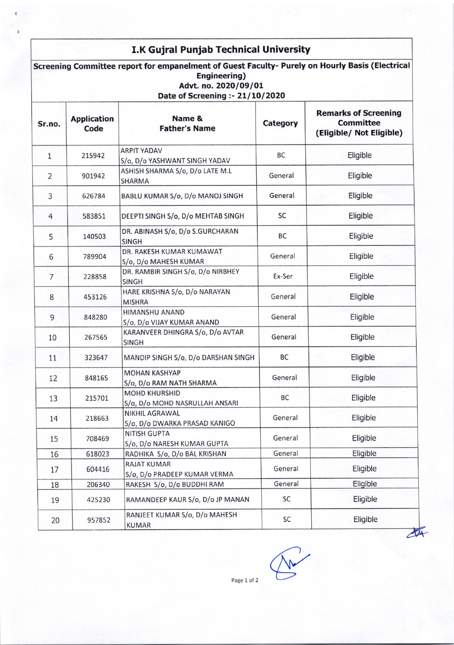## I.K Gujral Punjab Technical University

Screening Committee report for empanelment of Guest Faculty- Purely on Hourly Basis (Electrical Engineering) Advt. no. 2020/09/01 Date of Screening :-  $21/10/2020$ Sr.no. Application Code Name & Father's Name Category Remarks of Screening **Committee** (Eligible/ Not Eligible) 1 215942 ARPIT YADAV 5/o, D/o YASHWANT SINGH YADAV BC | Eligible 2 901942 ASHISH SHARMA S/o, D/o LATE M.L SHARMA General | Eligible 3 626784 BABLU KUMAR S/o, D/o MANOJ SINGH General Eligible 4 | 583851 DEEPTI SINGH S/o, D/o MEHTAB SINGH | SC | Eligible 5 140503 DR. ABINASH S/o, D/o S.GURCHARAN SINGH BC Eligible 6 789904 DR. RAKESH KUMAR KUMAWAT 5/o, D/o MAHESH KUMAR General | Eligible 7 <sup>2</sup>288 58 DR. RAMBIR SINGH 5/o, D/o NIRBHEY SINGH Ex-Ser | Eligible 8 453126 HARE KRISHNA S/o, D/o NARAYAN **MISHRA** General | Eligible 9 848280 HIMANSHU ANAND S/o. D/o VUAY KUMAR ANAND General | Eligible 10 267565 KARANVEER DHINGRA S/o, D/o AVTAR SINGH General | Eligible 11 323647 MANDIP SINGH S/o, D/o DARSHAN SINGH BC Eligible t2 848165 MOHAN KASHYAP S/o, D/o RAM NATH SHARMA General | Eligible 13 215701 MOHD KHURSHID S/o, D/o MOHD NASRULLAH ANSARI BC Eligible 14 218663 NIKHIL AGRAWAL S/o, D/o DWARKA PRASAD KANIGO General | Eligible 15 708469 NITISH GUPTA l5/o. D/o NARESH KUMAR GUPTA General **Eligible** 16 | 618023 | RADHIKA S/o, D/o BAL KRISHAN General | General Eligible 17 604416 **RAJAT KUMAR** S/o, D/o PRADEEP KUMAR VERMA General | Eligible 18 206340 RAKESH S/o, D/o BUDDHI RAM General Eligible 19 425230 RAMANDEEP KAUR S/o, D/o JP MANAN SC | Eligible 20 957852 RANJEET KUMAR S/o, D/o MAHESH KUMAR 5C Eligible